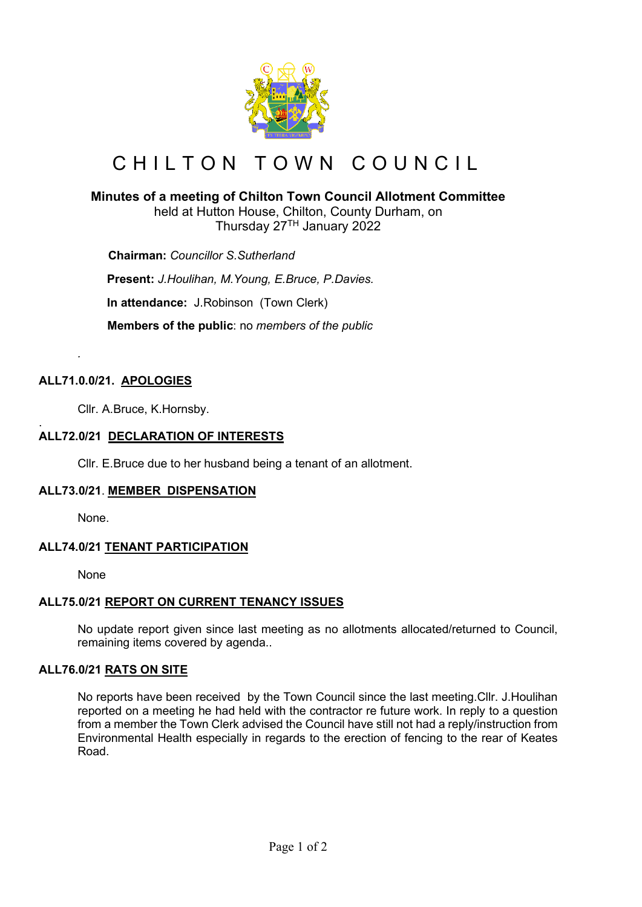

# CHILTON TOWN COUNCIL

# **Minutes of a meeting of Chilton Town Council Allotment Committee**

held at Hutton House, Chilton, County Durham, on Thursday 27TH January 2022

 **Chairman:** *Councillor S.Sutherland*

**Present:** *J.Houlihan, M.Young, E.Bruce, P.Davies.*

**In attendance:** J.Robinson (Town Clerk)

 **Members of the public**: no *members of the public*

## **ALL71.0.0/21. APOLOGIES**

*.*

Cllr. A.Bruce, K.Hornsby.

#### . **ALL72.0/21 DECLARATION OF INTERESTS**

Cllr. E.Bruce due to her husband being a tenant of an allotment.

## **ALL73.0/21**. **MEMBER DISPENSATION**

None.

## **ALL74.0/21 TENANT PARTICIPATION**

None

## **ALL75.0/21 REPORT ON CURRENT TENANCY ISSUES**

No update report given since last meeting as no allotments allocated/returned to Council, remaining items covered by agenda..

## **ALL76.0/21 RATS ON SITE**

No reports have been received by the Town Council since the last meeting.Cllr. J.Houlihan reported on a meeting he had held with the contractor re future work. In reply to a question from a member the Town Clerk advised the Council have still not had a reply/instruction from Environmental Health especially in regards to the erection of fencing to the rear of Keates Road.